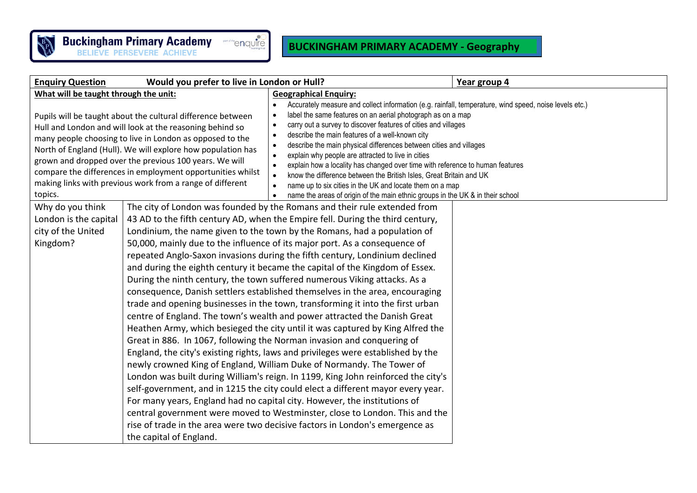

## **BUCKINGHAM PRIMARY ACADEMY - Geography**

| <b>Enquiry Question</b>                                                                                                                                                                                                                                                                                                                                                                                                                                                                                                                                      | Would you prefer to live in London or Hull? |                                                                                                                                                                                                                                                                                                                                                                                                                                                                                                                                                                                                                                                                                                                                                                                                                                                                                                                                                                                                                                                                                                                                                                                                                                                                                                                                                                                                                                                                                                                                                                                                                                             | Year group 4 |
|--------------------------------------------------------------------------------------------------------------------------------------------------------------------------------------------------------------------------------------------------------------------------------------------------------------------------------------------------------------------------------------------------------------------------------------------------------------------------------------------------------------------------------------------------------------|---------------------------------------------|---------------------------------------------------------------------------------------------------------------------------------------------------------------------------------------------------------------------------------------------------------------------------------------------------------------------------------------------------------------------------------------------------------------------------------------------------------------------------------------------------------------------------------------------------------------------------------------------------------------------------------------------------------------------------------------------------------------------------------------------------------------------------------------------------------------------------------------------------------------------------------------------------------------------------------------------------------------------------------------------------------------------------------------------------------------------------------------------------------------------------------------------------------------------------------------------------------------------------------------------------------------------------------------------------------------------------------------------------------------------------------------------------------------------------------------------------------------------------------------------------------------------------------------------------------------------------------------------------------------------------------------------|--------------|
| What will be taught through the unit:                                                                                                                                                                                                                                                                                                                                                                                                                                                                                                                        |                                             | <b>Geographical Enquiry:</b>                                                                                                                                                                                                                                                                                                                                                                                                                                                                                                                                                                                                                                                                                                                                                                                                                                                                                                                                                                                                                                                                                                                                                                                                                                                                                                                                                                                                                                                                                                                                                                                                                |              |
| Pupils will be taught about the cultural difference between<br>Hull and London and will look at the reasoning behind so<br>many people choosing to live in London as opposed to the<br>North of England (Hull). We will explore how population has<br>grown and dropped over the previous 100 years. We will<br>compare the differences in employment opportunities whilst<br>making links with previous work from a range of different<br>topics.<br>Why do you think<br>London is the capital<br>city of the United<br>Kingdom?<br>the capital of England. |                                             | Accurately measure and collect information (e.g. rainfall, temperature, wind speed, noise levels etc.)<br>label the same features on an aerial photograph as on a map<br>$\bullet$<br>carry out a survey to discover features of cities and villages<br>$\bullet$<br>describe the main features of a well-known city<br>$\bullet$<br>describe the main physical differences between cities and villages<br>$\bullet$<br>explain why people are attracted to live in cities<br>$\bullet$<br>explain how a locality has changed over time with reference to human features<br>$\bullet$<br>know the difference between the British Isles, Great Britain and UK<br>$\bullet$<br>name up to six cities in the UK and locate them on a map<br>name the areas of origin of the main ethnic groups in the UK & in their school<br>The city of London was founded by the Romans and their rule extended from<br>43 AD to the fifth century AD, when the Empire fell. During the third century,<br>Londinium, the name given to the town by the Romans, had a population of<br>50,000, mainly due to the influence of its major port. As a consequence of<br>repeated Anglo-Saxon invasions during the fifth century, Londinium declined<br>and during the eighth century it became the capital of the Kingdom of Essex.<br>During the ninth century, the town suffered numerous Viking attacks. As a<br>consequence, Danish settlers established themselves in the area, encouraging<br>trade and opening businesses in the town, transforming it into the first urban<br>centre of England. The town's wealth and power attracted the Danish Great |              |
|                                                                                                                                                                                                                                                                                                                                                                                                                                                                                                                                                              |                                             | Heathen Army, which besieged the city until it was captured by King Alfred the<br>Great in 886. In 1067, following the Norman invasion and conquering of<br>England, the city's existing rights, laws and privileges were established by the<br>newly crowned King of England, William Duke of Normandy. The Tower of<br>London was built during William's reign. In 1199, King John reinforced the city's<br>self-government, and in 1215 the city could elect a different mayor every year.<br>For many years, England had no capital city. However, the institutions of<br>central government were moved to Westminster, close to London. This and the<br>rise of trade in the area were two decisive factors in London's emergence as                                                                                                                                                                                                                                                                                                                                                                                                                                                                                                                                                                                                                                                                                                                                                                                                                                                                                                   |              |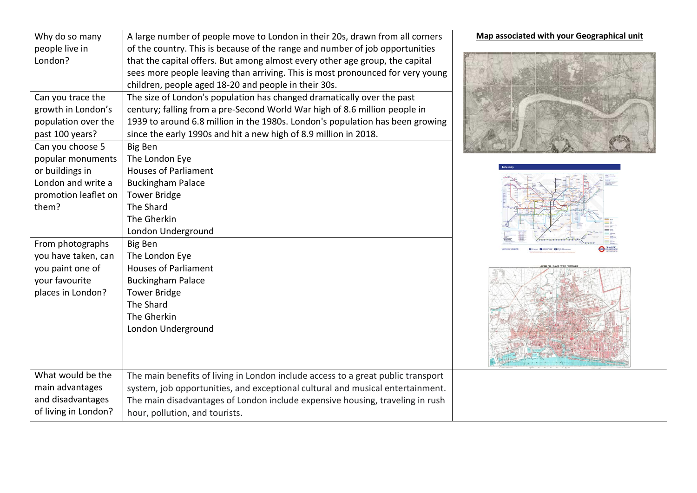| Why do so many       | A large number of people move to London in their 20s, drawn from all corners     | Map associated with your Geographical unit |
|----------------------|----------------------------------------------------------------------------------|--------------------------------------------|
| people live in       | of the country. This is because of the range and number of job opportunities     |                                            |
| London?              | that the capital offers. But among almost every other age group, the capital     |                                            |
|                      | sees more people leaving than arriving. This is most pronounced for very young   |                                            |
|                      | children, people aged 18-20 and people in their 30s.                             |                                            |
| Can you trace the    | The size of London's population has changed dramatically over the past           |                                            |
| growth in London's   | century; falling from a pre-Second World War high of 8.6 million people in       |                                            |
| population over the  | 1939 to around 6.8 million in the 1980s. London's population has been growing    |                                            |
| past 100 years?      | since the early 1990s and hit a new high of 8.9 million in 2018.                 |                                            |
| Can you choose 5     | <b>Big Ben</b>                                                                   |                                            |
| popular monuments    | The London Eye                                                                   |                                            |
| or buildings in      | <b>Houses of Parliament</b>                                                      |                                            |
| London and write a   | <b>Buckingham Palace</b>                                                         |                                            |
| promotion leaflet on | <b>Tower Bridge</b>                                                              |                                            |
| them?                | The Shard                                                                        |                                            |
|                      | The Gherkin                                                                      |                                            |
|                      | London Underground                                                               |                                            |
| From photographs     | <b>Big Ben</b>                                                                   |                                            |
| you have taken, can  | The London Eye                                                                   |                                            |
| you paint one of     | <b>Houses of Parliament</b>                                                      |                                            |
| your favourite       | <b>Buckingham Palace</b>                                                         |                                            |
| places in London?    | <b>Tower Bridge</b>                                                              |                                            |
|                      | The Shard<br>The Gherkin                                                         |                                            |
|                      |                                                                                  |                                            |
|                      | London Underground                                                               |                                            |
|                      |                                                                                  |                                            |
|                      |                                                                                  |                                            |
| What would be the    | The main benefits of living in London include access to a great public transport |                                            |
| main advantages      | system, job opportunities, and exceptional cultural and musical entertainment.   |                                            |
| and disadvantages    | The main disadvantages of London include expensive housing, traveling in rush    |                                            |
| of living in London? | hour, pollution, and tourists.                                                   |                                            |